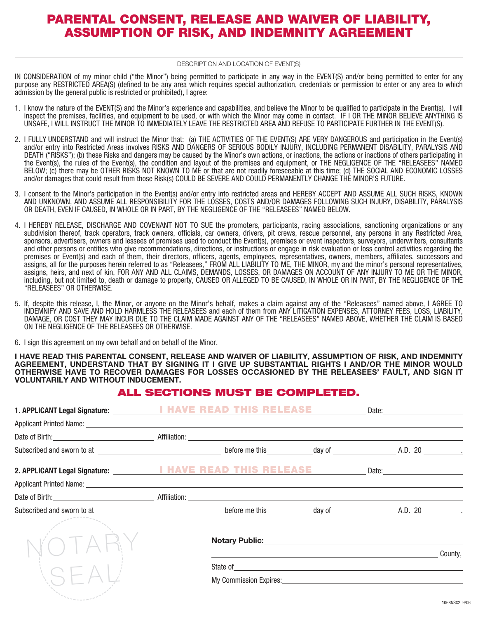## PARENTAL CONSENT, RELEASE AND WAIVER OF LIABILITY, ASSUMPTION OF RISK, AND INDEMNITY AGREEMENT

#### DESCRIPTION AND LOCATION OF EVENT(S)

IN CONSIDERATION of my minor child ("the Minor") being permitted to participate in any way in the EVENT(S) and/or being permitted to enter for any purpose any RESTRICTED AREA(S) (defined to be any area which requires special authorization, credentials or permission to enter or any area to which admission by the general public is restricted or prohibited), I agree:

- 1. I know the nature of the EVENT(S) and the Minor's experience and capabilities, and believe the Minor to be qualified to participate in the Event(s). I will inspect the premises, facilities, and equipment to be used, or with which the Minor may come in contact. IF I OR THE MINOR BELIEVE ANYTHING IS UNSAFE, I WILL INSTRUCT THE MINOR TO IMMEDIATELY LEAVE THE RESTRICTED AREA AND REFUSE TO PARTICIPATE FURTHER IN THE EVENT(S).
- 2. I FULLY UNDERSTAND and will instruct the Minor that: (a) THE ACTIVITIES OF THE EVENT(S) ARE VERY DANGEROUS and participation in the Event(s) and/or entry into Restricted Areas involves RISKS AND DANGERS OF SERIOUS BODILY INJURY, INCLUDING PERMANENT DISABILITY, PARALYSIS AND DEATH ("RISKS"); (b) these Risks and dangers may be caused by the Minor's own actions, or inactions, the actions or inactions of others participating in the Event(s), the rules of the Event(s), the condition and layout of the premises and equipment, or THE NEGLIGENCE OF THE "RELEASEES" NAMED BELOW; (c) there may be OTHER RISKS NOT KNOWN TO ME or that are not readily foreseeable at this time; (d) THE SOCIAL AND ECONOMIC LOSSES and/or damages that could result from those Risk(s) COULD BE SEVERE AND COULD PERMANENTLY CHANGE THE MINOR'S FUTURE.
- 3. I consent to the Minor's participation in the Event(s) and/or entry into restricted areas and HEREBY ACCEPT AND ASSUME ALL SUCH RISKS, KNOWN AND UNKNOWN, AND ASSUME ALL RESPONSIBILITY FOR THE LOSSES, COSTS AND/OR DAMAGES FOLLOWING SUCH INJURY, DISABILITY, PARALYSIS OR DEATH, EVEN IF CAUSED, IN WHOLE OR IN PART, BY THE NEGLIGENCE OF THE "RELEASEES" NAMED BELOW.
- 4. I HEREBY RELEASE, DISCHARGE AND COVENANT NOT TO SUE the promoters, participants, racing associations, sanctioning organizations or any subdivision thereof, track operators, track owners, officials, car owners, drivers, pit crews, rescue personnel, any persons in any Restricted Area, sponsors, advertisers, owners and lessees of premises used to conduct the Event(s), premises or event inspectors, surveyors, underwriters, consultants and other persons or entities who give recommendations, directions, or instructions or engage in risk evaluation or loss control activities regarding the premises or Event(s) and each of them, their directors, officers, agents, employees, representatives, owners, members, affiliates, successors and assigns, all for the purposes herein referred to as "Releasees," FROM ALL LIABILITY TO ME, THE MINOR, my and the minor's personal representatives, assigns, heirs, and next of kin, FOR ANY AND ALL CLAIMS, DEMANDS, LOSSES, OR DAMAGES ON ACCOUNT OF ANY INJURY TO ME OR THE MINOR, including, but not limited to, death or damage to property, CAUSED OR ALLEGED TO BE CAUSED, IN WHOLE OR IN PART, BY THE NEGLIGENCE OF THE "RELEASEES" OR OTHERWISE.
- 5. If, despite this release, I, the Minor, or anyone on the Minor's behalf, makes a claim against any of the "Releasees" named above, I AGREE TO INDEMNIFY AND SAVE AND HOLD HARMLESS THE RELEASEES and each of them from ANY LITIGATION EXPENSES, ATTORNEY FEES, LOSS, LIABILITY, DAMAGE, OR COST THEY MAY INCUR DUE TO THE CLAIM MADE AGAINST ANY OF THE "RELEASEES" NAMED ABOVE, WHETHER THE CLAIM IS BASED ON THE NEGLIGENCE OF THE RELEASEES OR OTHERWISE.
- 6. I sign this agreement on my own behalf and on behalf of the Minor.

 $\overline{a}$ 

**I HAVE READ THIS PARENTAL CONSENT, RELEASE AND WAIVER OF LIABILITY, ASSUMPTION OF RISK, AND INDEMNITY AGREEMENT, UNDERSTAND THAT BY SIGNING IT I GIVE UP SUBSTANTIAL RIGHTS I AND/OR THE MINOR WOULD OTHERWISE HAVE TO RECOVER DAMAGES FOR LOSSES OCCASIONED BY THE RELEASEES' FAULT, AND SIGN IT VOLUNTARILY AND WITHOUT INDUCEMENT.** 

### ALL SECTIONS MUST BE COMPLETED.

|                                                                                                                                                                                                                               | <b>THIS</b><br>RELEASE |                                                                     |  |                                 |         |
|-------------------------------------------------------------------------------------------------------------------------------------------------------------------------------------------------------------------------------|------------------------|---------------------------------------------------------------------|--|---------------------------------|---------|
|                                                                                                                                                                                                                               |                        |                                                                     |  |                                 |         |
|                                                                                                                                                                                                                               |                        |                                                                     |  |                                 |         |
|                                                                                                                                                                                                                               |                        |                                                                     |  |                                 |         |
| 2. APPLICANT Legal Signature: Network of <b>HAVE READ</b>                                                                                                                                                                     |                        |                                                                     |  | <b>THIS RELEASE</b> Date: Date: |         |
|                                                                                                                                                                                                                               |                        |                                                                     |  |                                 |         |
|                                                                                                                                                                                                                               |                        |                                                                     |  |                                 |         |
| Subscribed and sworn to at the state of the state of the state of the state of the state of the state of the state of the state of the state of the state of the state of the state of the state of the state of the state of |                        |                                                                     |  |                                 |         |
|                                                                                                                                                                                                                               |                        | Notary Public: Notary Public:                                       |  |                                 |         |
|                                                                                                                                                                                                                               |                        | <u> 1989 - Andrea Stadt Britain, amerikansk politiker (d. 1989)</u> |  |                                 | County, |
|                                                                                                                                                                                                                               |                        |                                                                     |  |                                 |         |
|                                                                                                                                                                                                                               |                        |                                                                     |  |                                 |         |